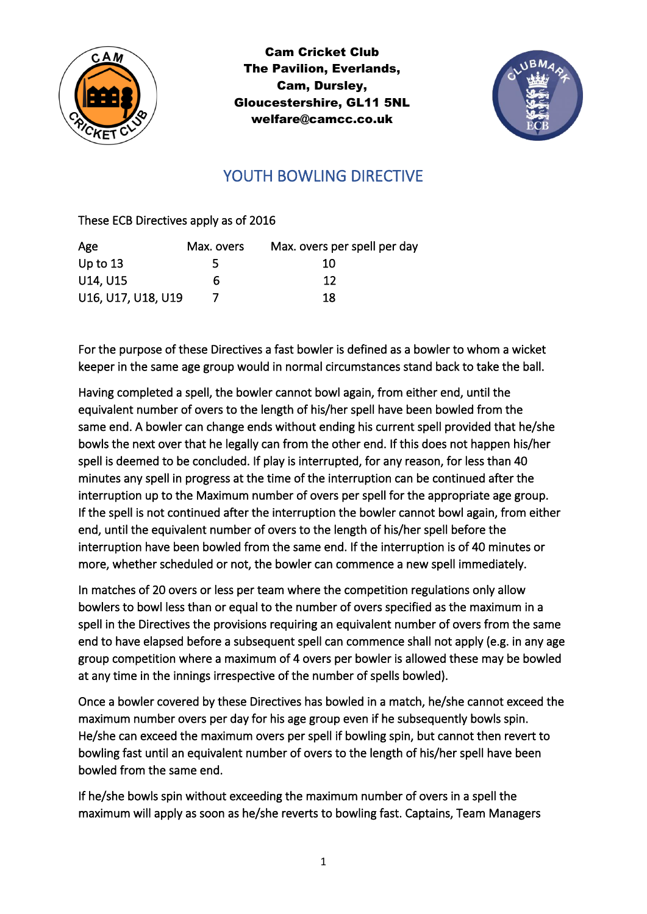

Cam Cricket Club The Pavilion, Everlands, Cam, Dursley, Gloucestershire, GL11 5NL welfare@camcc.co.uk



## YOUTH BOWLING DIRECTIVE

These ECB Directives apply as of 2016

| Age                | Max. overs | Max. overs per spell per day |
|--------------------|------------|------------------------------|
| Up to $13$         |            | 10                           |
| U14, U15           | 6          | 12                           |
| U16, U17, U18, U19 |            | 18                           |

For the purpose of these Directives a fast bowler is defined as a bowler to whom a wicket keeper in the same age group would in normal circumstances stand back to take the ball.

Having completed a spell, the bowler cannot bowl again, from either end, until the equivalent number of overs to the length of his/her spell have been bowled from the same end. A bowler can change ends without ending his current spell provided that he/she bowls the next over that he legally can from the other end. If this does not happen his/her spell is deemed to be concluded. If play is interrupted, for any reason, for less than 40 minutes any spell in progress at the time of the interruption can be continued after the interruption up to the Maximum number of overs per spell for the appropriate age group. If the spell is not continued after the interruption the bowler cannot bowl again, from either end, until the equivalent number of overs to the length of his/her spell before the interruption have been bowled from the same end. If the interruption is of 40 minutes or more, whether scheduled or not, the bowler can commence a new spell immediately.

In matches of 20 overs or less per team where the competition regulations only allow bowlers to bowl less than or equal to the number of overs specified as the maximum in a spell in the Directives the provisions requiring an equivalent number of overs from the same end to have elapsed before a subsequent spell can commence shall not apply (e.g. in any age group competition where a maximum of 4 overs per bowler is allowed these may be bowled at any time in the innings irrespective of the number of spells bowled).

Once a bowler covered by these Directives has bowled in a match, he/she cannot exceed the maximum number overs per day for his age group even if he subsequently bowls spin. He/she can exceed the maximum overs per spell if bowling spin, but cannot then revert to bowling fast until an equivalent number of overs to the length of his/her spell have been bowled from the same end.

If he/she bowls spin without exceeding the maximum number of overs in a spell the maximum will apply as soon as he/she reverts to bowling fast. Captains, Team Managers